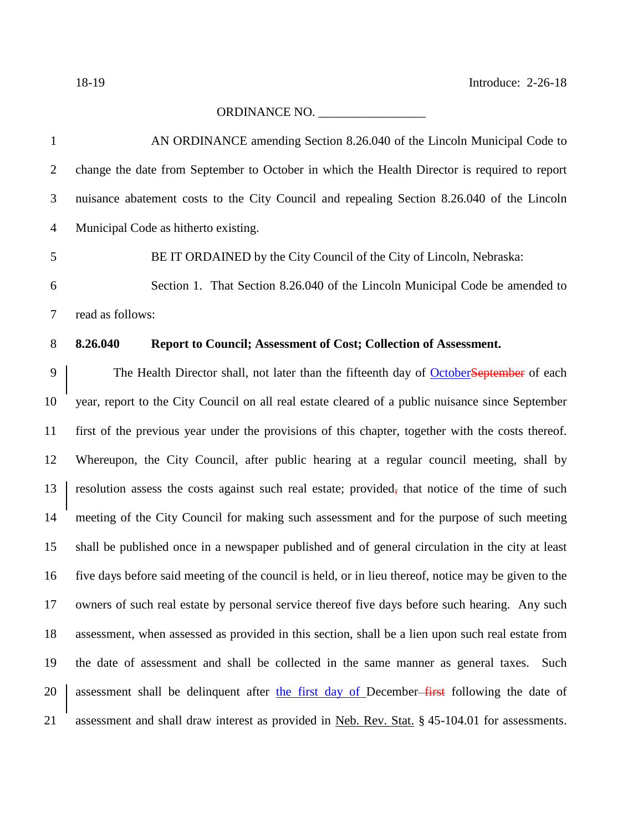## ORDINANCE NO. \_\_\_\_\_\_\_\_\_\_\_\_\_\_\_\_\_

| 1              | AN ORDINANCE amending Section 8.26.040 of the Lincoln Municipal Code to                              |
|----------------|------------------------------------------------------------------------------------------------------|
| $\overline{2}$ | change the date from September to October in which the Health Director is required to report         |
| 3              | nuisance abatement costs to the City Council and repealing Section 8.26.040 of the Lincoln           |
| $\overline{4}$ | Municipal Code as hitherto existing.                                                                 |
| 5              | BE IT ORDAINED by the City Council of the City of Lincoln, Nebraska:                                 |
| 6              | Section 1. That Section 8.26.040 of the Lincoln Municipal Code be amended to                         |
| 7              | read as follows:                                                                                     |
| $8\,$          | 8.26.040<br>Report to Council; Assessment of Cost; Collection of Assessment.                         |
| 9              | The Health Director shall, not later than the fifteenth day of OctoberSeptember of each              |
| 10             | year, report to the City Council on all real estate cleared of a public nuisance since September     |
| 11             | first of the previous year under the provisions of this chapter, together with the costs thereof.    |
| 12             | Whereupon, the City Council, after public hearing at a regular council meeting, shall by             |
| 13             | resolution assess the costs against such real estate; provided, that notice of the time of such      |
| 14             | meeting of the City Council for making such assessment and for the purpose of such meeting           |
| 15             | shall be published once in a newspaper published and of general circulation in the city at least     |
| 16             | five days before said meeting of the council is held, or in lieu thereof, notice may be given to the |
| 17             | owners of such real estate by personal service thereof five days before such hearing. Any such       |
| 18             | assessment, when assessed as provided in this section, shall be a lien upon such real estate from    |
| 19             | the date of assessment and shall be collected in the same manner as general taxes.<br>Such           |
| 20             | assessment shall be delinquent after the first day of December–first following the date of           |
| 21             | assessment and shall draw interest as provided in Neb. Rev. Stat. § 45-104.01 for assessments.       |